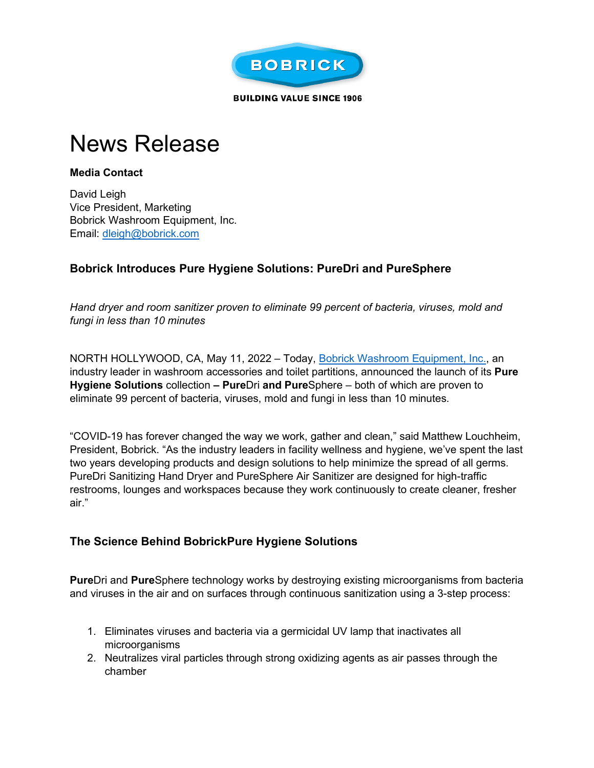

**BUILDING VALUE SINCE 1906** 

# News Release

#### **Media Contact**

David Leigh Vice President, Marketing Bobrick Washroom Equipment, Inc. Email: [dleigh@bobrick.com](https://t.nylas.com/t1/71/7rg545qc5ptvufi1x6imenc99/0/3609f5ae42bbb9838308a5caa16b289f6e7146ed2e7ac6ca0d2b0313731d110a) 

## **Bobrick Introduces Pure Hygiene Solutions: PureDri and PureSphere**

*Hand dryer and room sanitizer proven to eliminate 99 percent of bacteria, viruses, mold and fungi in less than 10 minutes* 

NORTH HOLLYWOOD, CA, May 11, 2022 – Today, [Bobrick Washroom Equipment, Inc.,](https://t.nylas.com/t1/71/7rg545qc5ptvufi1x6imenc99/1/e7899383831522b46b3de8a06d9ff5b1778a4359952b4f82e6a720353617dd0a) an industry leader in washroom accessories and toilet partitions, announced the launch of its **Pure Hygiene Solutions** collection **– Pure**Dri **and Pure**Sphere – both of which are proven to eliminate 99 percent of bacteria, viruses, mold and fungi in less than 10 minutes*.* 

"COVID-19 has forever changed the way we work, gather and clean," said Matthew Louchheim, President, Bobrick. "As the industry leaders in facility wellness and hygiene, we've spent the last two years developing products and design solutions to help minimize the spread of all germs. PureDri Sanitizing Hand Dryer and PureSphere Air Sanitizer are designed for high-traffic restrooms, lounges and workspaces because they work continuously to create cleaner, fresher air."

### **The Science Behind BobrickPure Hygiene Solutions**

**Pure**Dri and **Pure**Sphere technology works by destroying existing microorganisms from bacteria and viruses in the air and on surfaces through continuous sanitization using a 3-step process:

- 1. Eliminates viruses and bacteria via a germicidal UV lamp that inactivates all microorganisms
- 2. Neutralizes viral particles through strong oxidizing agents as air passes through the chamber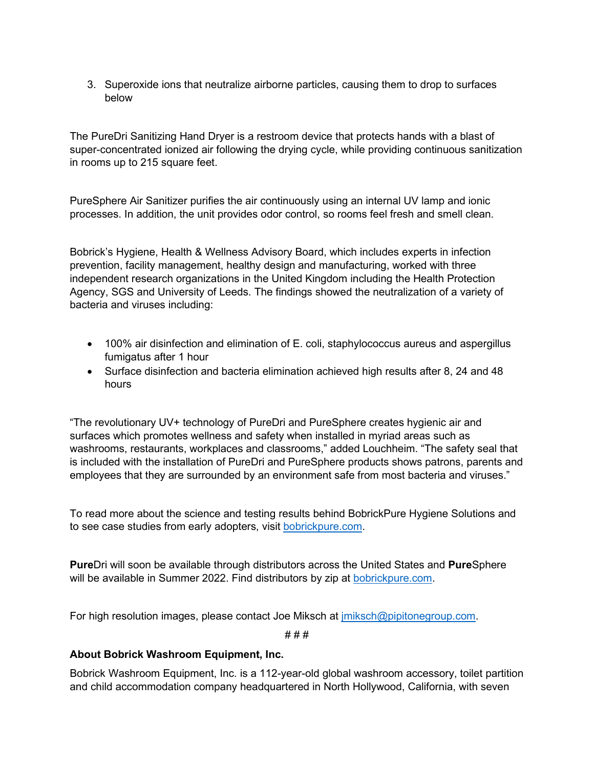3. Superoxide ions that neutralize airborne particles, causing them to drop to surfaces below

The PureDri Sanitizing Hand Dryer is a restroom device that protects hands with a blast of super-concentrated ionized air following the drying cycle, while providing continuous sanitization in rooms up to 215 square feet.

PureSphere Air Sanitizer purifies the air continuously using an internal UV lamp and ionic processes. In addition, the unit provides odor control, so rooms feel fresh and smell clean.

Bobrick's Hygiene, Health & Wellness Advisory Board, which includes experts in infection prevention, facility management, healthy design and manufacturing, worked with three independent research organizations in the United Kingdom including the Health Protection Agency, SGS and University of Leeds. The findings showed the neutralization of a variety of bacteria and viruses including:

- 100% air disinfection and elimination of E. coli, staphylococcus aureus and aspergillus fumigatus after 1 hour
- Surface disinfection and bacteria elimination achieved high results after 8, 24 and 48 hours

"The revolutionary UV+ technology of PureDri and PureSphere creates hygienic air and surfaces which promotes wellness and safety when installed in myriad areas such as washrooms, restaurants, workplaces and classrooms," added Louchheim. "The safety seal that is included with the installation of PureDri and PureSphere products shows patrons, parents and employees that they are surrounded by an environment safe from most bacteria and viruses."

To read more about the science and testing results behind BobrickPure Hygiene Solutions and to see case studies from early adopters, visit [bobrickpure.com.](https://t.nylas.com/t1/71/7rg545qc5ptvufi1x6imenc99/2/ddb5b91640875c69ac14dc171a535d252c3306928d4ea015d677a2db0d9e5790)

**Pure**Dri will soon be available through distributors across the United States and **Pure**Sphere will be available in Summer 2022. Find distributors by zip at [bobrickpure.com.](https://t.nylas.com/t1/71/7rg545qc5ptvufi1x6imenc99/3/19f518c89f24930bdc1d89e1b9351cf993b98ab374193592e7515b736189da61)

For high resolution images, please contact Joe Miksch at [jmiksch@pipitonegroup.com.](https://t.nylas.com/t1/71/7rg545qc5ptvufi1x6imenc99/4/fe058aa33533e14302738fe17ecb7ff4e5bcb1ea55d521424fc0fdf75b8f888b)

# # #

#### **About Bobrick Washroom Equipment, Inc.**

Bobrick Washroom Equipment, Inc. is a 112-year-old global washroom accessory, toilet partition and child accommodation company headquartered in North Hollywood, California, with seven